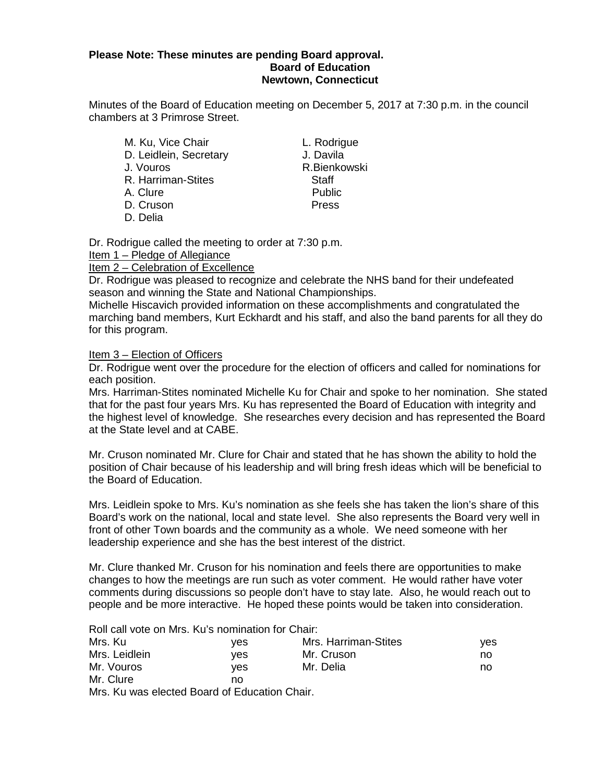#### **Please Note: These minutes are pending Board approval. Board of Education Newtown, Connecticut**

Minutes of the Board of Education meeting on December 5, 2017 at 7:30 p.m. in the council chambers at 3 Primrose Street.

M. Ku, Vice Chair **L. Rodrigue** D. Leidlein, Secretary **J. Davila** J. Vouros R.Bienkowski R. Harriman-Stites Staff A. Clure **Public** D. Cruson **Press** D. Delia

Dr. Rodrigue called the meeting to order at 7:30 p.m.

Item 1 – Pledge of Allegiance

Item 2 – Celebration of Excellence

Dr. Rodrigue was pleased to recognize and celebrate the NHS band for their undefeated season and winning the State and National Championships.

Michelle Hiscavich provided information on these accomplishments and congratulated the marching band members, Kurt Eckhardt and his staff, and also the band parents for all they do for this program.

Item 3 – Election of Officers

Dr. Rodrigue went over the procedure for the election of officers and called for nominations for each position.

Mrs. Harriman-Stites nominated Michelle Ku for Chair and spoke to her nomination. She stated that for the past four years Mrs. Ku has represented the Board of Education with integrity and the highest level of knowledge. She researches every decision and has represented the Board at the State level and at CABE.

Mr. Cruson nominated Mr. Clure for Chair and stated that he has shown the ability to hold the position of Chair because of his leadership and will bring fresh ideas which will be beneficial to the Board of Education.

Mrs. Leidlein spoke to Mrs. Ku's nomination as she feels she has taken the lion's share of this Board's work on the national, local and state level. She also represents the Board very well in front of other Town boards and the community as a whole. We need someone with her leadership experience and she has the best interest of the district.

Mr. Clure thanked Mr. Cruson for his nomination and feels there are opportunities to make changes to how the meetings are run such as voter comment. He would rather have voter comments during discussions so people don't have to stay late. Also, he would reach out to people and be more interactive. He hoped these points would be taken into consideration.

Roll call vote on Mrs. Ku's nomination for Chair:

| Mrs. Ku       | ves | Mrs. Harriman-Stites | ves |
|---------------|-----|----------------------|-----|
| Mrs. Leidlein | ves | Mr. Cruson           | no  |
| Mr. Vouros    | ves | Mr. Delia            | no  |
| Mr. Clure     | no  |                      |     |
|               |     |                      |     |

Mrs. Ku was elected Board of Education Chair.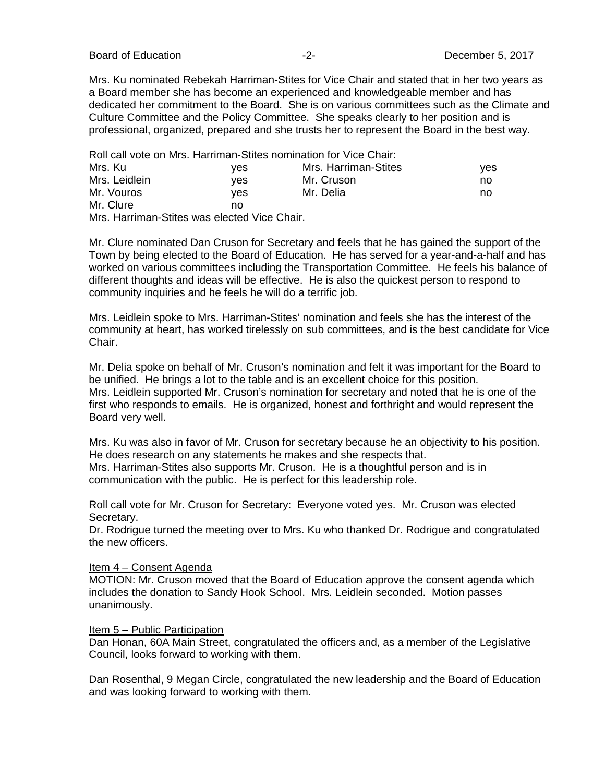Board of Education **Contract Contract Contract Contract Contract Contract Contract Contract Contract Contract Contract Contract Contract Contract Contract Contract Contract Contract Contract Contract Contract Contract Cont** 

Mrs. Ku nominated Rebekah Harriman-Stites for Vice Chair and stated that in her two years as a Board member she has become an experienced and knowledgeable member and has dedicated her commitment to the Board. She is on various committees such as the Climate and Culture Committee and the Policy Committee. She speaks clearly to her position and is professional, organized, prepared and she trusts her to represent the Board in the best way.

| Roll call vote on Mrs. Harriman-Stites nomination for Vice Chair: |      |                      |     |
|-------------------------------------------------------------------|------|----------------------|-----|
| Mrs. Ku                                                           | ves  | Mrs. Harriman-Stites | ves |
| Mrs. Leidlein                                                     | ves  | Mr. Cruson           | no  |
| Mr. Vouros                                                        | ves. | Mr. Delia            | no  |
| Mr. Clure                                                         | no   |                      |     |

Mrs. Harriman-Stites was elected Vice Chair.

Mr. Clure nominated Dan Cruson for Secretary and feels that he has gained the support of the Town by being elected to the Board of Education. He has served for a year-and-a-half and has worked on various committees including the Transportation Committee. He feels his balance of different thoughts and ideas will be effective. He is also the quickest person to respond to community inquiries and he feels he will do a terrific job.

Mrs. Leidlein spoke to Mrs. Harriman-Stites' nomination and feels she has the interest of the community at heart, has worked tirelessly on sub committees, and is the best candidate for Vice Chair.

Mr. Delia spoke on behalf of Mr. Cruson's nomination and felt it was important for the Board to be unified. He brings a lot to the table and is an excellent choice for this position. Mrs. Leidlein supported Mr. Cruson's nomination for secretary and noted that he is one of the first who responds to emails. He is organized, honest and forthright and would represent the Board very well.

Mrs. Ku was also in favor of Mr. Cruson for secretary because he an objectivity to his position. He does research on any statements he makes and she respects that. Mrs. Harriman-Stites also supports Mr. Cruson. He is a thoughtful person and is in communication with the public. He is perfect for this leadership role.

Roll call vote for Mr. Cruson for Secretary: Everyone voted yes. Mr. Cruson was elected Secretary.

Dr. Rodrigue turned the meeting over to Mrs. Ku who thanked Dr. Rodrigue and congratulated the new officers.

#### Item 4 – Consent Agenda

MOTION: Mr. Cruson moved that the Board of Education approve the consent agenda which includes the donation to Sandy Hook School. Mrs. Leidlein seconded. Motion passes unanimously.

#### Item 5 – Public Participation

Dan Honan, 60A Main Street, congratulated the officers and, as a member of the Legislative Council, looks forward to working with them.

Dan Rosenthal, 9 Megan Circle, congratulated the new leadership and the Board of Education and was looking forward to working with them.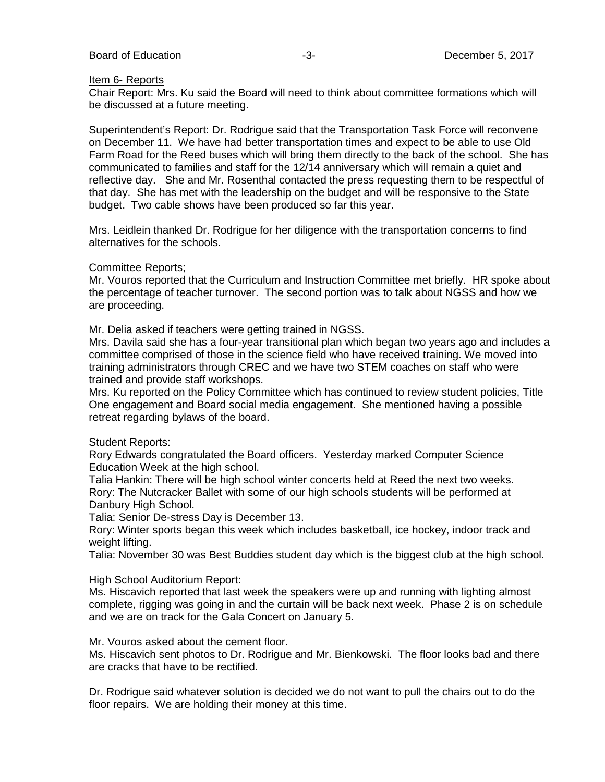#### Item 6- Reports

Chair Report: Mrs. Ku said the Board will need to think about committee formations which will be discussed at a future meeting.

Superintendent's Report: Dr. Rodrigue said that the Transportation Task Force will reconvene on December 11. We have had better transportation times and expect to be able to use Old Farm Road for the Reed buses which will bring them directly to the back of the school. She has communicated to families and staff for the 12/14 anniversary which will remain a quiet and reflective day. She and Mr. Rosenthal contacted the press requesting them to be respectful of that day. She has met with the leadership on the budget and will be responsive to the State budget. Two cable shows have been produced so far this year.

Mrs. Leidlein thanked Dr. Rodrigue for her diligence with the transportation concerns to find alternatives for the schools.

#### Committee Reports;

Mr. Vouros reported that the Curriculum and Instruction Committee met briefly. HR spoke about the percentage of teacher turnover. The second portion was to talk about NGSS and how we are proceeding.

Mr. Delia asked if teachers were getting trained in NGSS.

Mrs. Davila said she has a four-year transitional plan which began two years ago and includes a committee comprised of those in the science field who have received training. We moved into training administrators through CREC and we have two STEM coaches on staff who were trained and provide staff workshops.

Mrs. Ku reported on the Policy Committee which has continued to review student policies, Title One engagement and Board social media engagement. She mentioned having a possible retreat regarding bylaws of the board.

#### Student Reports:

Rory Edwards congratulated the Board officers. Yesterday marked Computer Science Education Week at the high school.

Talia Hankin: There will be high school winter concerts held at Reed the next two weeks. Rory: The Nutcracker Ballet with some of our high schools students will be performed at Danbury High School.

Talia: Senior De-stress Day is December 13.

Rory: Winter sports began this week which includes basketball, ice hockey, indoor track and weight lifting.

Talia: November 30 was Best Buddies student day which is the biggest club at the high school.

High School Auditorium Report:

Ms. Hiscavich reported that last week the speakers were up and running with lighting almost complete, rigging was going in and the curtain will be back next week. Phase 2 is on schedule and we are on track for the Gala Concert on January 5.

Mr. Vouros asked about the cement floor.

Ms. Hiscavich sent photos to Dr. Rodrigue and Mr. Bienkowski. The floor looks bad and there are cracks that have to be rectified.

Dr. Rodrigue said whatever solution is decided we do not want to pull the chairs out to do the floor repairs. We are holding their money at this time.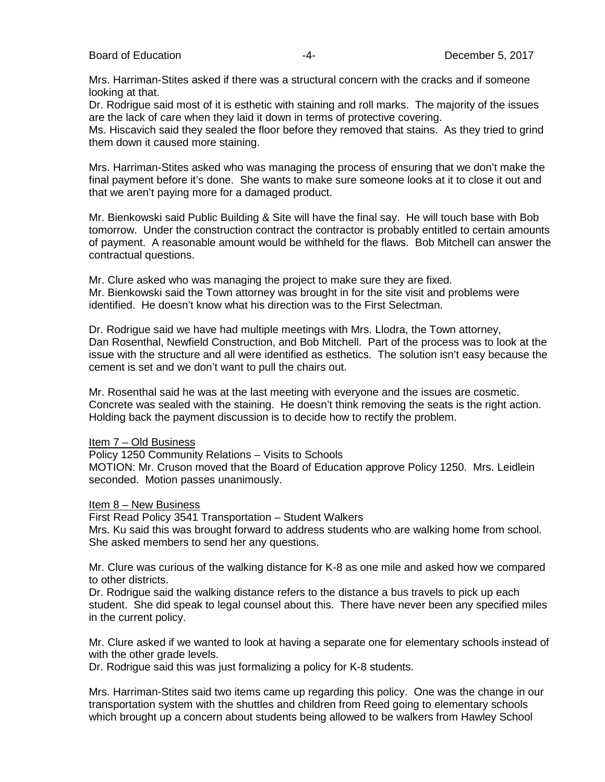Mrs. Harriman-Stites asked if there was a structural concern with the cracks and if someone looking at that.

Dr. Rodrigue said most of it is esthetic with staining and roll marks. The majority of the issues are the lack of care when they laid it down in terms of protective covering.

Ms. Hiscavich said they sealed the floor before they removed that stains. As they tried to grind them down it caused more staining.

Mrs. Harriman-Stites asked who was managing the process of ensuring that we don't make the final payment before it's done. She wants to make sure someone looks at it to close it out and that we aren't paying more for a damaged product.

Mr. Bienkowski said Public Building & Site will have the final say. He will touch base with Bob tomorrow. Under the construction contract the contractor is probably entitled to certain amounts of payment. A reasonable amount would be withheld for the flaws. Bob Mitchell can answer the contractual questions.

Mr. Clure asked who was managing the project to make sure they are fixed. Mr. Bienkowski said the Town attorney was brought in for the site visit and problems were identified. He doesn't know what his direction was to the First Selectman.

Dr. Rodrigue said we have had multiple meetings with Mrs. Llodra, the Town attorney, Dan Rosenthal, Newfield Construction, and Bob Mitchell. Part of the process was to look at the issue with the structure and all were identified as esthetics. The solution isn't easy because the cement is set and we don't want to pull the chairs out.

Mr. Rosenthal said he was at the last meeting with everyone and the issues are cosmetic. Concrete was sealed with the staining. He doesn't think removing the seats is the right action. Holding back the payment discussion is to decide how to rectify the problem.

Item 7 – Old Business

Policy 1250 Community Relations – Visits to Schools

MOTION: Mr. Cruson moved that the Board of Education approve Policy 1250. Mrs. Leidlein seconded. Motion passes unanimously.

Item 8 – New Business

First Read Policy 3541 Transportation – Student Walkers Mrs. Ku said this was brought forward to address students who are walking home from school. She asked members to send her any questions.

Mr. Clure was curious of the walking distance for K-8 as one mile and asked how we compared to other districts.

Dr. Rodrigue said the walking distance refers to the distance a bus travels to pick up each student. She did speak to legal counsel about this. There have never been any specified miles in the current policy.

Mr. Clure asked if we wanted to look at having a separate one for elementary schools instead of with the other grade levels.

Dr. Rodrigue said this was just formalizing a policy for K-8 students.

Mrs. Harriman-Stites said two items came up regarding this policy. One was the change in our transportation system with the shuttles and children from Reed going to elementary schools which brought up a concern about students being allowed to be walkers from Hawley School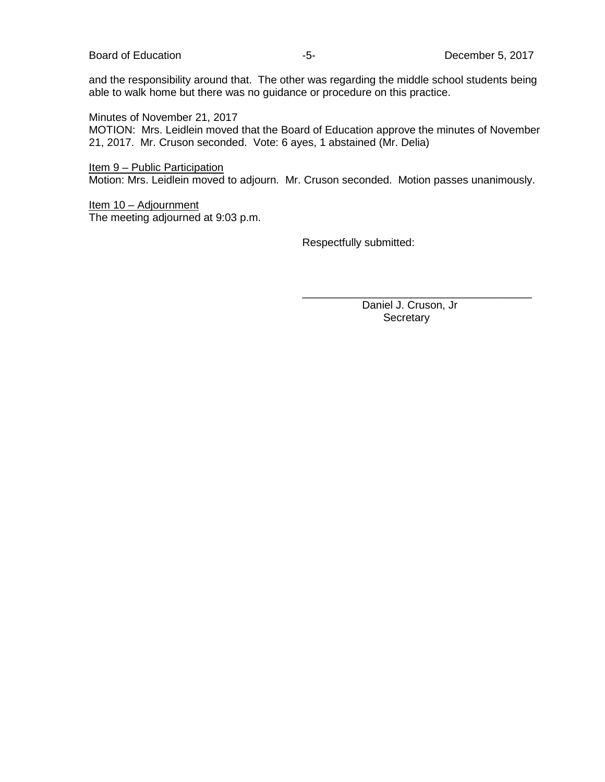and the responsibility around that. The other was regarding the middle school students being able to walk home but there was no guidance or procedure on this practice.

Minutes of November 21, 2017

MOTION: Mrs. Leidlein moved that the Board of Education approve the minutes of November 21, 2017. Mr. Cruson seconded. Vote: 6 ayes, 1 abstained (Mr. Delia)

Item 9 – Public Participation Motion: Mrs. Leidlein moved to adjourn. Mr. Cruson seconded. Motion passes unanimously.

Item 10 – Adjournment The meeting adjourned at 9:03 p.m.

Respectfully submitted:

\_\_\_\_\_\_\_\_\_\_\_\_\_\_\_\_\_\_\_\_\_\_\_\_\_\_\_\_\_\_\_\_\_\_\_\_\_\_ Daniel J. Cruson, Jr **Secretary**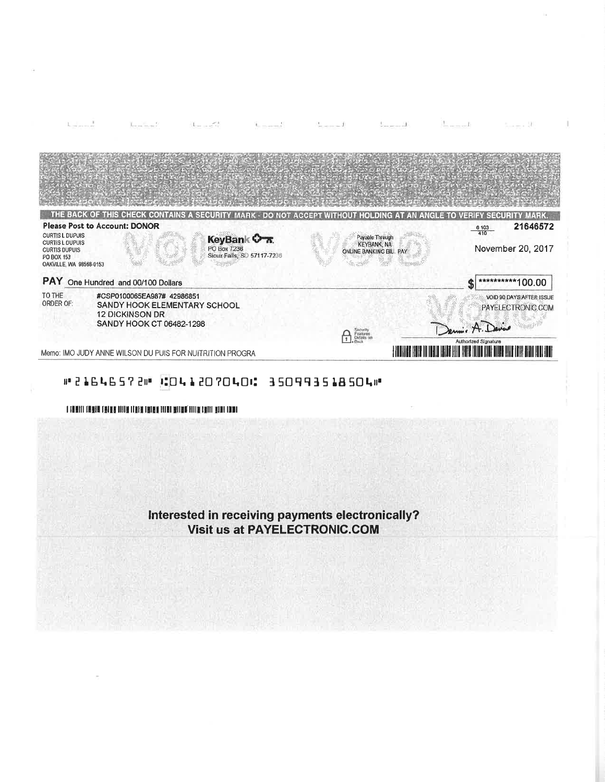

## #21646572# 10412070401 350993518504#

I FORETTI CONSULTINGUAL DISTINTIBURE SI LIBIT INTER ETTIN CHITE BORI TOURI

Interested in receiving payments electronically? **Visit us at PAYELECTRONIC.COM**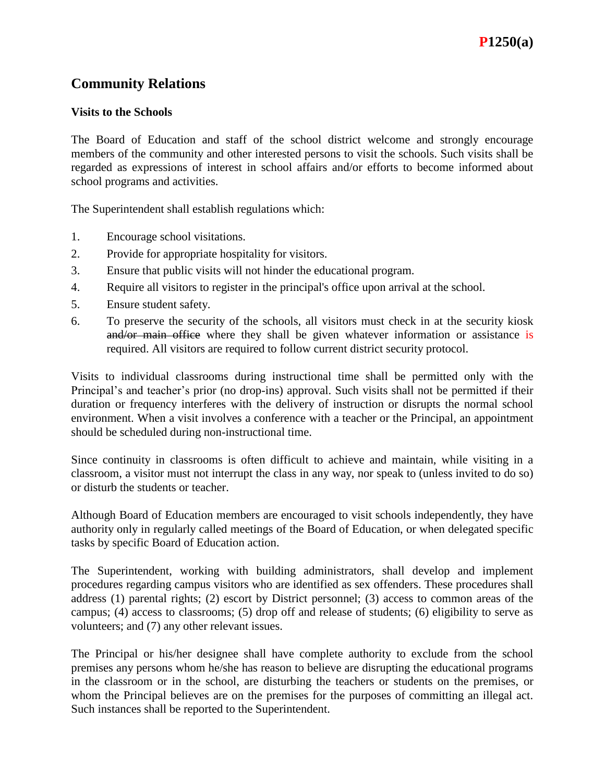## **Visits to the Schools**

The Board of Education and staff of the school district welcome and strongly encourage members of the community and other interested persons to visit the schools. Such visits shall be regarded as expressions of interest in school affairs and/or efforts to become informed about school programs and activities.

The Superintendent shall establish regulations which:

- 1. Encourage school visitations.
- 2. Provide for appropriate hospitality for visitors.
- 3. Ensure that public visits will not hinder the educational program.
- 4. Require all visitors to register in the principal's office upon arrival at the school.
- 5. Ensure student safety.
- 6. To preserve the security of the schools, all visitors must check in at the security kiosk and/or main office where they shall be given whatever information or assistance is required. All visitors are required to follow current district security protocol.

Visits to individual classrooms during instructional time shall be permitted only with the Principal's and teacher's prior (no drop-ins) approval. Such visits shall not be permitted if their duration or frequency interferes with the delivery of instruction or disrupts the normal school environment. When a visit involves a conference with a teacher or the Principal, an appointment should be scheduled during non-instructional time.

Since continuity in classrooms is often difficult to achieve and maintain, while visiting in a classroom, a visitor must not interrupt the class in any way, nor speak to (unless invited to do so) or disturb the students or teacher.

Although Board of Education members are encouraged to visit schools independently, they have authority only in regularly called meetings of the Board of Education, or when delegated specific tasks by specific Board of Education action.

The Superintendent, working with building administrators, shall develop and implement procedures regarding campus visitors who are identified as sex offenders. These procedures shall address (1) parental rights; (2) escort by District personnel; (3) access to common areas of the campus; (4) access to classrooms; (5) drop off and release of students; (6) eligibility to serve as volunteers; and (7) any other relevant issues.

The Principal or his/her designee shall have complete authority to exclude from the school premises any persons whom he/she has reason to believe are disrupting the educational programs in the classroom or in the school, are disturbing the teachers or students on the premises, or whom the Principal believes are on the premises for the purposes of committing an illegal act. Such instances shall be reported to the Superintendent.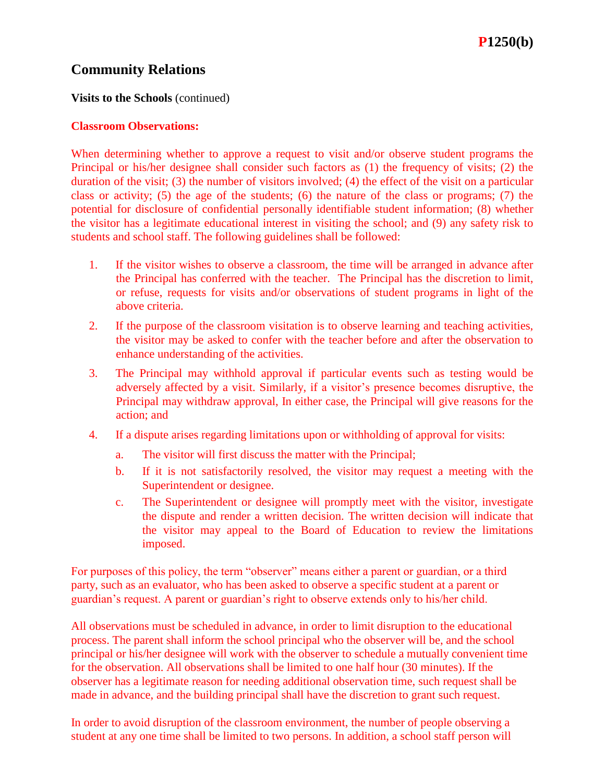## **Visits to the Schools** (continued)

## **Classroom Observations:**

When determining whether to approve a request to visit and/or observe student programs the Principal or his/her designee shall consider such factors as (1) the frequency of visits; (2) the duration of the visit; (3) the number of visitors involved; (4) the effect of the visit on a particular class or activity; (5) the age of the students; (6) the nature of the class or programs; (7) the potential for disclosure of confidential personally identifiable student information; (8) whether the visitor has a legitimate educational interest in visiting the school; and (9) any safety risk to students and school staff. The following guidelines shall be followed:

- 1. If the visitor wishes to observe a classroom, the time will be arranged in advance after the Principal has conferred with the teacher. The Principal has the discretion to limit, or refuse, requests for visits and/or observations of student programs in light of the above criteria.
- 2. If the purpose of the classroom visitation is to observe learning and teaching activities, the visitor may be asked to confer with the teacher before and after the observation to enhance understanding of the activities.
- 3. The Principal may withhold approval if particular events such as testing would be adversely affected by a visit. Similarly, if a visitor's presence becomes disruptive, the Principal may withdraw approval, In either case, the Principal will give reasons for the action; and
- 4. If a dispute arises regarding limitations upon or withholding of approval for visits:
	- a. The visitor will first discuss the matter with the Principal;
	- b. If it is not satisfactorily resolved, the visitor may request a meeting with the Superintendent or designee.
	- c. The Superintendent or designee will promptly meet with the visitor, investigate the dispute and render a written decision. The written decision will indicate that the visitor may appeal to the Board of Education to review the limitations imposed.

For purposes of this policy, the term "observer" means either a parent or guardian, or a third party, such as an evaluator, who has been asked to observe a specific student at a parent or guardian's request. A parent or guardian's right to observe extends only to his/her child.

All observations must be scheduled in advance, in order to limit disruption to the educational process. The parent shall inform the school principal who the observer will be, and the school principal or his/her designee will work with the observer to schedule a mutually convenient time for the observation. All observations shall be limited to one half hour (30 minutes). If the observer has a legitimate reason for needing additional observation time, such request shall be made in advance, and the building principal shall have the discretion to grant such request.

In order to avoid disruption of the classroom environment, the number of people observing a student at any one time shall be limited to two persons. In addition, a school staff person will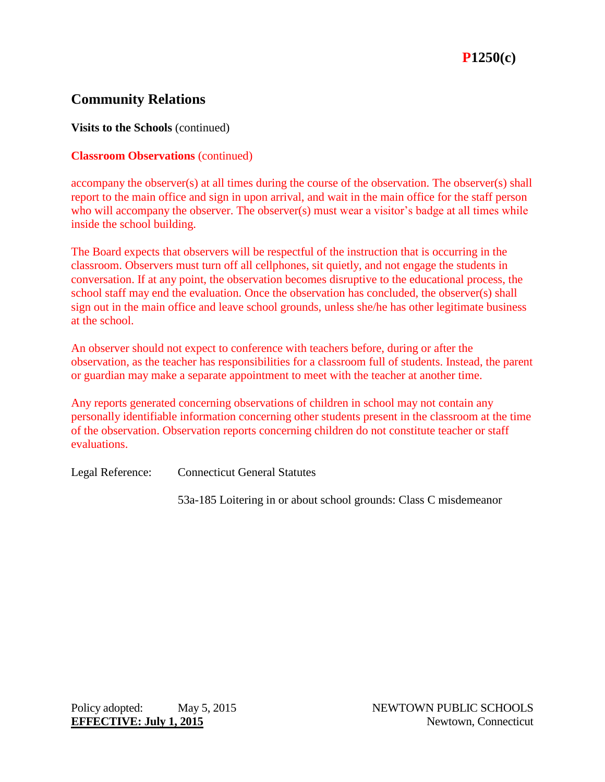**Visits to the Schools** (continued)

## **Classroom Observations** (continued)

accompany the observer(s) at all times during the course of the observation. The observer(s) shall report to the main office and sign in upon arrival, and wait in the main office for the staff person who will accompany the observer. The observer(s) must wear a visitor's badge at all times while inside the school building.

The Board expects that observers will be respectful of the instruction that is occurring in the classroom. Observers must turn off all cellphones, sit quietly, and not engage the students in conversation. If at any point, the observation becomes disruptive to the educational process, the school staff may end the evaluation. Once the observation has concluded, the observer(s) shall sign out in the main office and leave school grounds, unless she/he has other legitimate business at the school.

An observer should not expect to conference with teachers before, during or after the observation, as the teacher has responsibilities for a classroom full of students. Instead, the parent or guardian may make a separate appointment to meet with the teacher at another time.

Any reports generated concerning observations of children in school may not contain any personally identifiable information concerning other students present in the classroom at the time of the observation. Observation reports concerning children do not constitute teacher or staff evaluations.

Legal Reference: Connecticut General Statutes

53a-185 Loitering in or about school grounds: Class C misdemeanor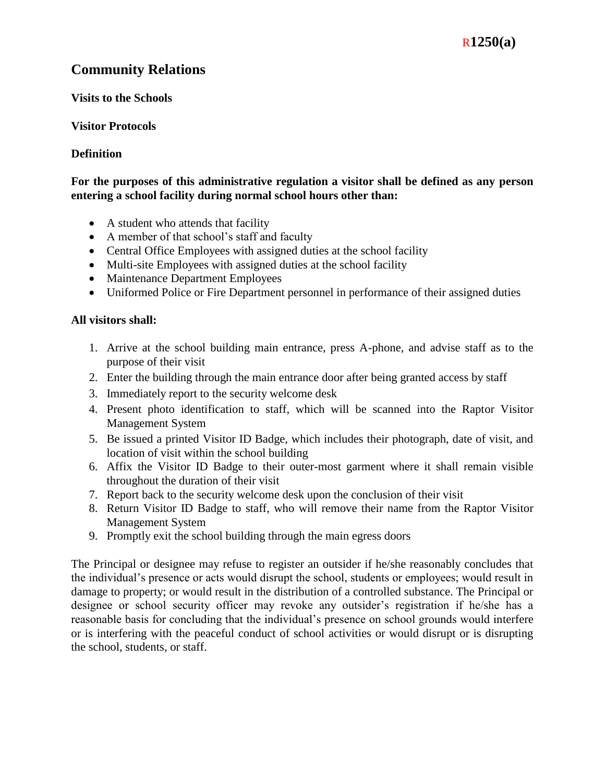## R**1250(a)**

## **Community Relations**

## **Visits to the Schools**

## **Visitor Protocols**

## **Definition**

## **For the purposes of this administrative regulation a visitor shall be defined as any person entering a school facility during normal school hours other than:**

- A student who attends that facility
- A member of that school's staff and faculty
- Central Office Employees with assigned duties at the school facility
- Multi-site Employees with assigned duties at the school facility
- Maintenance Department Employees
- Uniformed Police or Fire Department personnel in performance of their assigned duties

## **All visitors shall:**

- 1. Arrive at the school building main entrance, press A-phone, and advise staff as to the purpose of their visit
- 2. Enter the building through the main entrance door after being granted access by staff
- 3. Immediately report to the security welcome desk
- 4. Present photo identification to staff, which will be scanned into the Raptor Visitor Management System
- 5. Be issued a printed Visitor ID Badge, which includes their photograph, date of visit, and location of visit within the school building
- 6. Affix the Visitor ID Badge to their outer-most garment where it shall remain visible throughout the duration of their visit
- 7. Report back to the security welcome desk upon the conclusion of their visit
- 8. Return Visitor ID Badge to staff, who will remove their name from the Raptor Visitor Management System
- 9. Promptly exit the school building through the main egress doors

The Principal or designee may refuse to register an outsider if he/she reasonably concludes that the individual's presence or acts would disrupt the school, students or employees; would result in damage to property; or would result in the distribution of a controlled substance. The Principal or designee or school security officer may revoke any outsider's registration if he/she has a reasonable basis for concluding that the individual's presence on school grounds would interfere or is interfering with the peaceful conduct of school activities or would disrupt or is disrupting the school, students, or staff.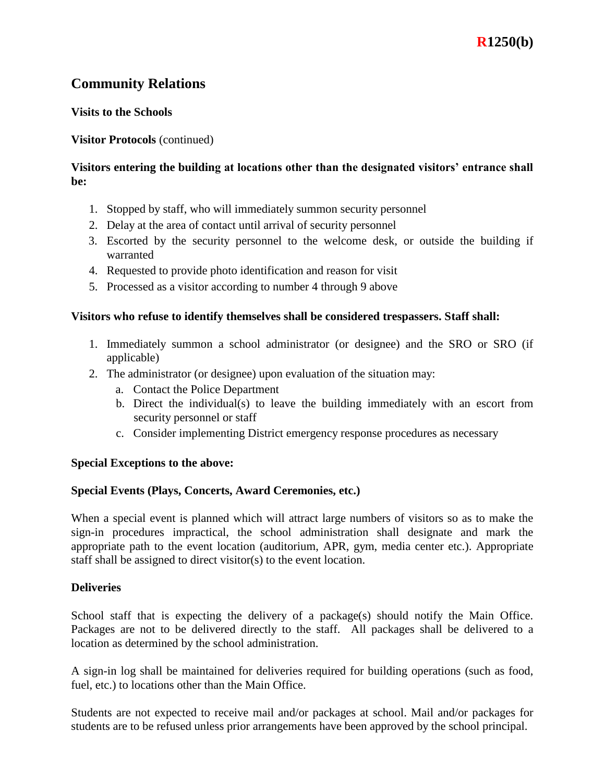## **Visits to the Schools**

## **Visitor Protocols** (continued)

## **Visitors entering the building at locations other than the designated visitors' entrance shall be:**

- 1. Stopped by staff, who will immediately summon security personnel
- 2. Delay at the area of contact until arrival of security personnel
- 3. Escorted by the security personnel to the welcome desk, or outside the building if warranted
- 4. Requested to provide photo identification and reason for visit
- 5. Processed as a visitor according to number 4 through 9 above

## **Visitors who refuse to identify themselves shall be considered trespassers. Staff shall:**

- 1. Immediately summon a school administrator (or designee) and the SRO or SRO (if applicable)
- 2. The administrator (or designee) upon evaluation of the situation may:
	- a. Contact the Police Department
	- b. Direct the individual(s) to leave the building immediately with an escort from security personnel or staff
	- c. Consider implementing District emergency response procedures as necessary

### **Special Exceptions to the above:**

### **Special Events (Plays, Concerts, Award Ceremonies, etc.)**

When a special event is planned which will attract large numbers of visitors so as to make the sign-in procedures impractical, the school administration shall designate and mark the appropriate path to the event location (auditorium, APR, gym, media center etc.). Appropriate staff shall be assigned to direct visitor(s) to the event location.

### **Deliveries**

School staff that is expecting the delivery of a package(s) should notify the Main Office. Packages are not to be delivered directly to the staff. All packages shall be delivered to a location as determined by the school administration.

A sign-in log shall be maintained for deliveries required for building operations (such as food, fuel, etc.) to locations other than the Main Office.

Students are not expected to receive mail and/or packages at school. Mail and/or packages for students are to be refused unless prior arrangements have been approved by the school principal.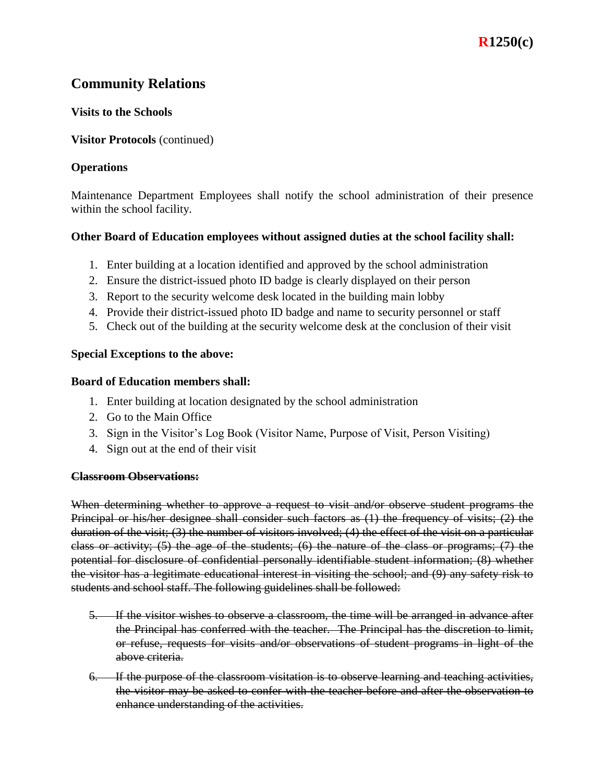## **Visits to the Schools**

## **Visitor Protocols** (continued)

## **Operations**

Maintenance Department Employees shall notify the school administration of their presence within the school facility.

## **Other Board of Education employees without assigned duties at the school facility shall:**

- 1. Enter building at a location identified and approved by the school administration
- 2. Ensure the district-issued photo ID badge is clearly displayed on their person
- 3. Report to the security welcome desk located in the building main lobby
- 4. Provide their district-issued photo ID badge and name to security personnel or staff
- 5. Check out of the building at the security welcome desk at the conclusion of their visit

## **Special Exceptions to the above:**

### **Board of Education members shall:**

- 1. Enter building at location designated by the school administration
- 2. Go to the Main Office
- 3. Sign in the Visitor's Log Book (Visitor Name, Purpose of Visit, Person Visiting)
- 4. Sign out at the end of their visit

### **Classroom Observations:**

When determining whether to approve a request to visit and/or observe student programs the Principal or his/her designee shall consider such factors as (1) the frequency of visits; (2) the duration of the visit; (3) the number of visitors involved; (4) the effect of the visit on a particular class or activity; (5) the age of the students; (6) the nature of the class or programs; (7) the potential for disclosure of confidential personally identifiable student information; (8) whether the visitor has a legitimate educational interest in visiting the school; and (9) any safety risk to students and school staff. The following guidelines shall be followed:

- 5. If the visitor wishes to observe a classroom, the time will be arranged in advance after the Principal has conferred with the teacher. The Principal has the discretion to limit, or refuse, requests for visits and/or observations of student programs in light of the above criteria.
- 6. If the purpose of the classroom visitation is to observe learning and teaching activities, the visitor may be asked to confer with the teacher before and after the observation to enhance understanding of the activities.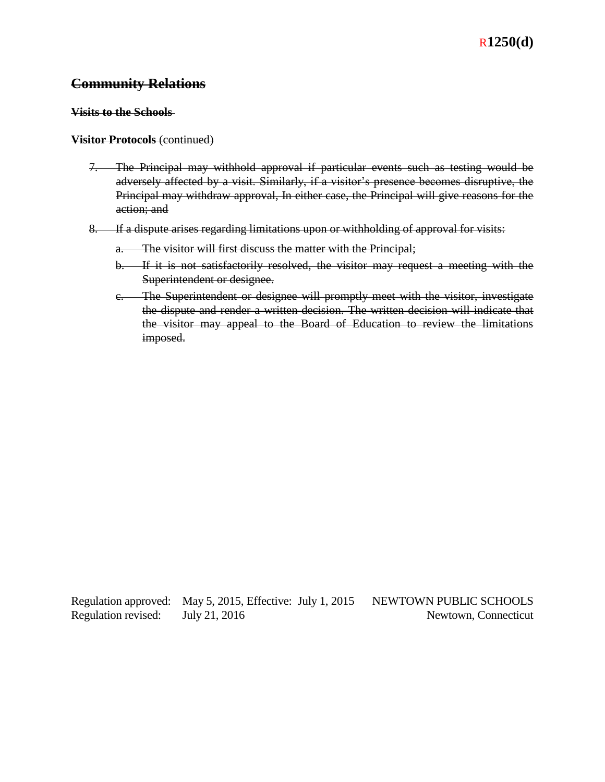#### **Visits to the Schools**

#### **Visitor Protocols** (continued)

- 7. The Principal may withhold approval if particular events such as testing would be adversely affected by a visit. Similarly, if a visitor's presence becomes disruptive, the Principal may withdraw approval, In either case, the Principal will give reasons for the action; and
- 8. If a dispute arises regarding limitations upon or withholding of approval for visits:
	- a. The visitor will first discuss the matter with the Principal;
	- b. If it is not satisfactorily resolved, the visitor may request a meeting with the Superintendent or designee.
	- c. The Superintendent or designee will promptly meet with the visitor, investigate the dispute and render a written decision. The written decision will indicate that the visitor may appeal to the Board of Education to review the limitations imposed.

Regulation approved: May 5, 2015, Effective: July 1, 2015 NEWTOWN PUBLIC SCHOOLS Regulation revised: July 21, 2016 Newtown, Connecticut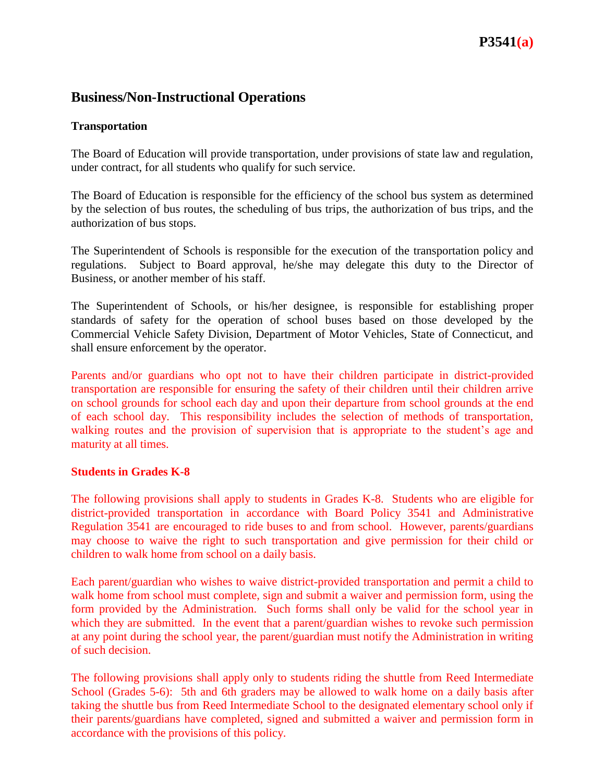## **Business/Non-Instructional Operations**

## **Transportation**

The Board of Education will provide transportation, under provisions of state law and regulation, under contract, for all students who qualify for such service.

The Board of Education is responsible for the efficiency of the school bus system as determined by the selection of bus routes, the scheduling of bus trips, the authorization of bus trips, and the authorization of bus stops.

The Superintendent of Schools is responsible for the execution of the transportation policy and regulations. Subject to Board approval, he/she may delegate this duty to the Director of Business, or another member of his staff.

The Superintendent of Schools, or his/her designee, is responsible for establishing proper standards of safety for the operation of school buses based on those developed by the Commercial Vehicle Safety Division, Department of Motor Vehicles, State of Connecticut, and shall ensure enforcement by the operator.

Parents and/or guardians who opt not to have their children participate in district-provided transportation are responsible for ensuring the safety of their children until their children arrive on school grounds for school each day and upon their departure from school grounds at the end of each school day. This responsibility includes the selection of methods of transportation, walking routes and the provision of supervision that is appropriate to the student's age and maturity at all times.

### **Students in Grades K-8**

The following provisions shall apply to students in Grades K-8. Students who are eligible for district-provided transportation in accordance with Board Policy 3541 and Administrative Regulation 3541 are encouraged to ride buses to and from school. However, parents/guardians may choose to waive the right to such transportation and give permission for their child or children to walk home from school on a daily basis.

Each parent/guardian who wishes to waive district-provided transportation and permit a child to walk home from school must complete, sign and submit a waiver and permission form, using the form provided by the Administration. Such forms shall only be valid for the school year in which they are submitted. In the event that a parent/guardian wishes to revoke such permission at any point during the school year, the parent/guardian must notify the Administration in writing of such decision.

The following provisions shall apply only to students riding the shuttle from Reed Intermediate School (Grades 5-6): 5th and 6th graders may be allowed to walk home on a daily basis after taking the shuttle bus from Reed Intermediate School to the designated elementary school only if their parents/guardians have completed, signed and submitted a waiver and permission form in accordance with the provisions of this policy.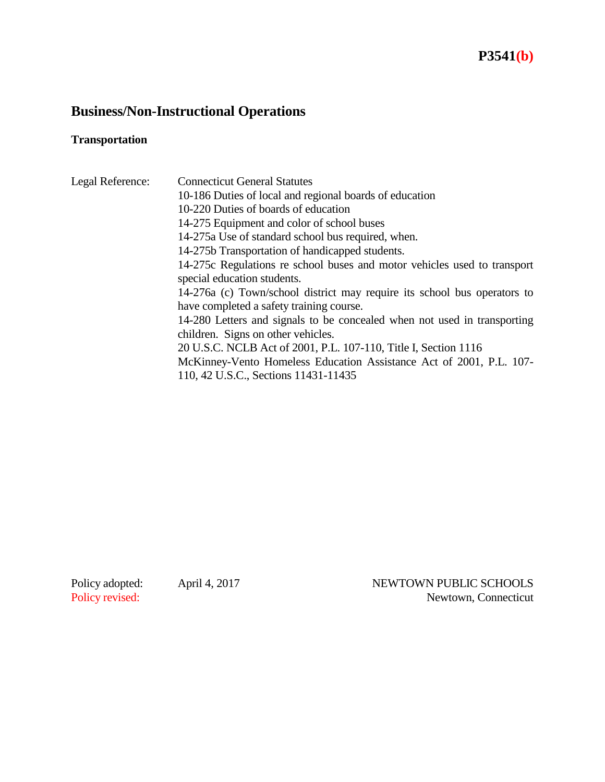# **P3541(b)**

# **Business/Non-Instructional Operations**

# **Transportation**

| Legal Reference: | <b>Connecticut General Statutes</b>                                      |
|------------------|--------------------------------------------------------------------------|
|                  | 10-186 Duties of local and regional boards of education                  |
|                  | 10-220 Duties of boards of education                                     |
|                  | 14-275 Equipment and color of school buses                               |
|                  | 14-275a Use of standard school bus required, when.                       |
|                  | 14-275b Transportation of handicapped students.                          |
|                  | 14-275c Regulations re school buses and motor vehicles used to transport |
|                  | special education students.                                              |
|                  | 14-276a (c) Town/school district may require its school bus operators to |
|                  | have completed a safety training course.                                 |
|                  | 14-280 Letters and signals to be concealed when not used in transporting |
|                  | children. Signs on other vehicles.                                       |
|                  | 20 U.S.C. NCLB Act of 2001, P.L. 107-110, Title I, Section 1116          |
|                  | McKinney-Vento Homeless Education Assistance Act of 2001, P.L. 107-      |
|                  | 110, 42 U.S.C., Sections 11431-11435                                     |

Policy adopted: April 4, 2017 NEWTOWN PUBLIC SCHOOLS<br>Policy revised: Newtown, Connecticut Newtown, Connecticut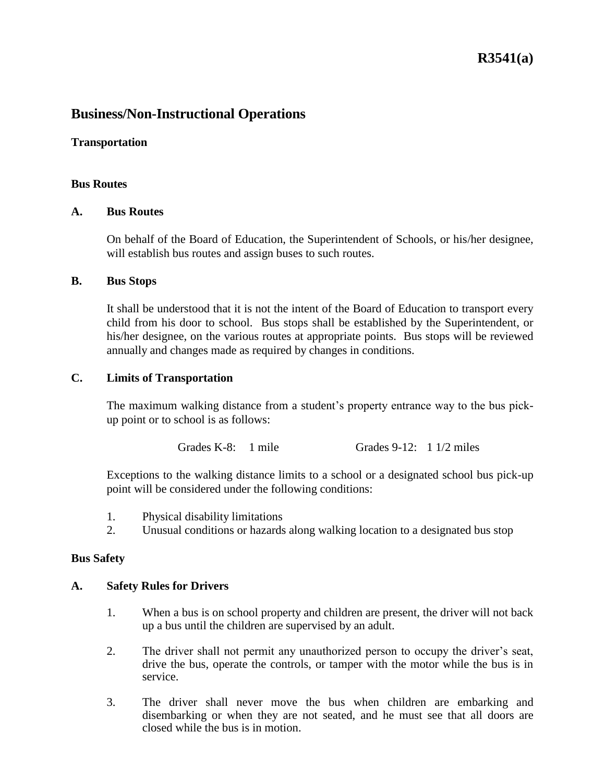## **R3541(a)**

## **Business/Non-Instructional Operations**

#### **Transportation**

#### **Bus Routes**

#### **A. Bus Routes**

On behalf of the Board of Education, the Superintendent of Schools, or his/her designee, will establish bus routes and assign buses to such routes.

#### **B. Bus Stops**

It shall be understood that it is not the intent of the Board of Education to transport every child from his door to school. Bus stops shall be established by the Superintendent, or his/her designee, on the various routes at appropriate points. Bus stops will be reviewed annually and changes made as required by changes in conditions.

#### **C. Limits of Transportation**

The maximum walking distance from a student's property entrance way to the bus pickup point or to school is as follows:

Grades K-8: 1 mile Grades 9-12: 1 1/2 miles

Exceptions to the walking distance limits to a school or a designated school bus pick-up point will be considered under the following conditions:

- 1. Physical disability limitations
- 2. Unusual conditions or hazards along walking location to a designated bus stop

#### **Bus Safety**

#### **A. Safety Rules for Drivers**

- 1. When a bus is on school property and children are present, the driver will not back up a bus until the children are supervised by an adult.
- 2. The driver shall not permit any unauthorized person to occupy the driver's seat, drive the bus, operate the controls, or tamper with the motor while the bus is in service.
- 3. The driver shall never move the bus when children are embarking and disembarking or when they are not seated, and he must see that all doors are closed while the bus is in motion.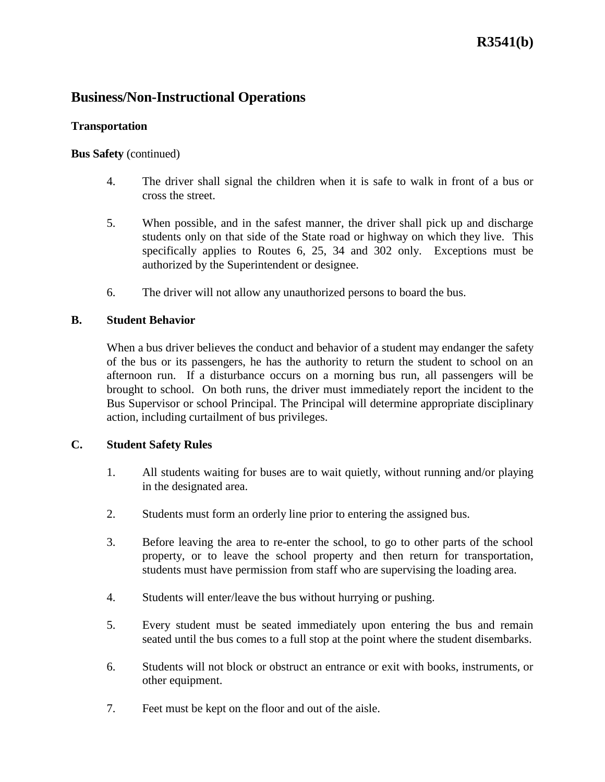## **Business/Non-Instructional Operations**

## **Transportation**

## **Bus Safety** (continued)

- 4. The driver shall signal the children when it is safe to walk in front of a bus or cross the street.
- 5. When possible, and in the safest manner, the driver shall pick up and discharge students only on that side of the State road or highway on which they live. This specifically applies to Routes 6, 25, 34 and 302 only. Exceptions must be authorized by the Superintendent or designee.
- 6. The driver will not allow any unauthorized persons to board the bus.

## **B. Student Behavior**

When a bus driver believes the conduct and behavior of a student may endanger the safety of the bus or its passengers, he has the authority to return the student to school on an afternoon run. If a disturbance occurs on a morning bus run, all passengers will be brought to school. On both runs, the driver must immediately report the incident to the Bus Supervisor or school Principal. The Principal will determine appropriate disciplinary action, including curtailment of bus privileges.

### **C. Student Safety Rules**

- 1. All students waiting for buses are to wait quietly, without running and/or playing in the designated area.
- 2. Students must form an orderly line prior to entering the assigned bus.
- 3. Before leaving the area to re-enter the school, to go to other parts of the school property, or to leave the school property and then return for transportation, students must have permission from staff who are supervising the loading area.
- 4. Students will enter/leave the bus without hurrying or pushing.
- 5. Every student must be seated immediately upon entering the bus and remain seated until the bus comes to a full stop at the point where the student disembarks.
- 6. Students will not block or obstruct an entrance or exit with books, instruments, or other equipment.
- 7. Feet must be kept on the floor and out of the aisle.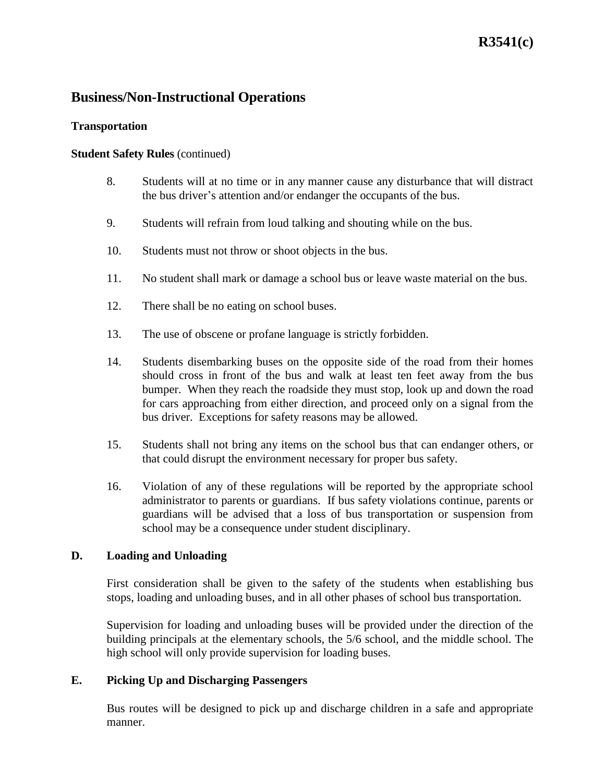# **R3541(c)**

## **Business/Non-Instructional Operations**

### **Transportation**

## **Student Safety Rules** (continued)

- 8. Students will at no time or in any manner cause any disturbance that will distract the bus driver's attention and/or endanger the occupants of the bus.
- 9. Students will refrain from loud talking and shouting while on the bus.
- 10. Students must not throw or shoot objects in the bus.
- 11. No student shall mark or damage a school bus or leave waste material on the bus.
- 12. There shall be no eating on school buses.
- 13. The use of obscene or profane language is strictly forbidden.
- 14. Students disembarking buses on the opposite side of the road from their homes should cross in front of the bus and walk at least ten feet away from the bus bumper. When they reach the roadside they must stop, look up and down the road for cars approaching from either direction, and proceed only on a signal from the bus driver. Exceptions for safety reasons may be allowed.
- 15. Students shall not bring any items on the school bus that can endanger others, or that could disrupt the environment necessary for proper bus safety.
- 16. Violation of any of these regulations will be reported by the appropriate school administrator to parents or guardians. If bus safety violations continue, parents or guardians will be advised that a loss of bus transportation or suspension from school may be a consequence under student disciplinary.

## **D. Loading and Unloading**

First consideration shall be given to the safety of the students when establishing bus stops, loading and unloading buses, and in all other phases of school bus transportation.

Supervision for loading and unloading buses will be provided under the direction of the building principals at the elementary schools, the 5/6 school, and the middle school. The high school will only provide supervision for loading buses.

## **E. Picking Up and Discharging Passengers**

Bus routes will be designed to pick up and discharge children in a safe and appropriate manner.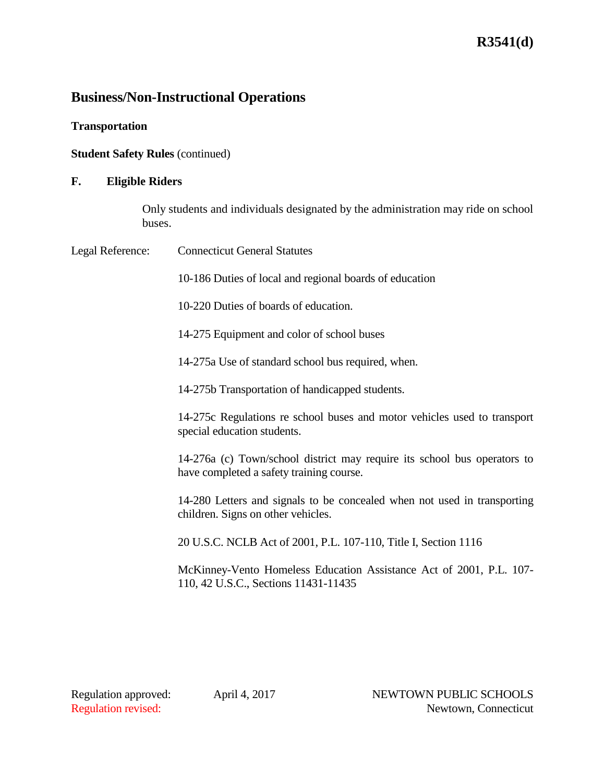# **Business/Non-Instructional Operations**

**Transportation**

**Student Safety Rules (continued)** 

## **F. Eligible Riders**

Only students and individuals designated by the administration may ride on school buses.

| Legal Reference: | <b>Connecticut General Statutes</b>                                                                                  |
|------------------|----------------------------------------------------------------------------------------------------------------------|
|                  | 10-186 Duties of local and regional boards of education                                                              |
|                  | 10-220 Duties of boards of education.                                                                                |
|                  | 14-275 Equipment and color of school buses                                                                           |
|                  | 14-275a Use of standard school bus required, when.                                                                   |
|                  | 14-275b Transportation of handicapped students.                                                                      |
|                  | 14-275c Regulations re school buses and motor vehicles used to transport<br>special education students.              |
|                  | 14-276a (c) Town/school district may require its school bus operators to<br>have completed a safety training course. |
|                  | 14-280 Letters and signals to be concealed when not used in transporting<br>children. Signs on other vehicles.       |
|                  | 20 U.S.C. NCLB Act of 2001, P.L. 107-110, Title I, Section 1116                                                      |
|                  | McKinney-Vento Homeless Education Assistance Act of 2001, P.L. 107-<br>110, 42 U.S.C., Sections 11431-11435          |